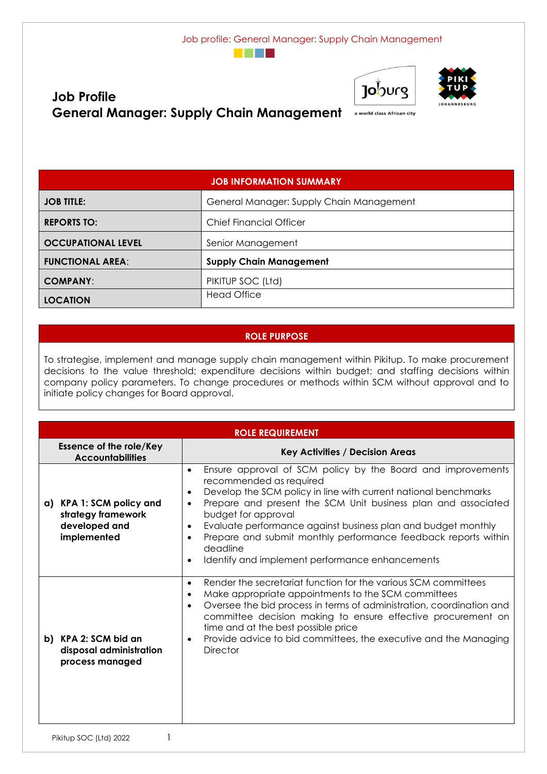





# **Job Profile** General Manager: Supply Chain Management **Reserver Address African city**

| <b>JOB INFORMATION SUMMARY</b> |                                          |  |  |
|--------------------------------|------------------------------------------|--|--|
| <b>JOB TITLE:</b>              | General Manager: Supply Chain Management |  |  |
| <b>REPORTS TO:</b>             | <b>Chief Financial Officer</b>           |  |  |
| <b>OCCUPATIONAL LEVEL</b>      | Senior Management                        |  |  |
| <b>FUNCTIONAL AREA:</b>        | <b>Supply Chain Management</b>           |  |  |
| <b>COMPANY:</b>                | PIKITUP SOC (Ltd)                        |  |  |
| <b>LOCATION</b>                | <b>Head Office</b>                       |  |  |

#### **ROLE PURPOSE**

To strategise, implement and manage supply chain management within Pikitup. To make procurement decisions to the value threshold; expenditure decisions within budget; and staffing decisions within company policy parameters. To change procedures or methods within SCM without approval and to initiate policy changes for Board approval.

|                                                                                | <b>ROLE REQUIREMENT</b>                                            |                                                                                                                                                                                                                                                                                                                                                                                                                                                                                                                           |  |  |
|--------------------------------------------------------------------------------|--------------------------------------------------------------------|---------------------------------------------------------------------------------------------------------------------------------------------------------------------------------------------------------------------------------------------------------------------------------------------------------------------------------------------------------------------------------------------------------------------------------------------------------------------------------------------------------------------------|--|--|
| <b>Essence of the role/Key</b><br><b>Accountabilities</b>                      |                                                                    | <b>Key Activities / Decision Areas</b>                                                                                                                                                                                                                                                                                                                                                                                                                                                                                    |  |  |
| a) KPA 1: SCM policy and<br>strategy framework<br>developed and<br>implemented |                                                                    | Ensure approval of SCM policy by the Board and improvements<br>$\bullet$<br>recommended as required<br>Develop the SCM policy in line with current national benchmarks<br>٠<br>Prepare and present the SCM Unit business plan and associated<br>$\bullet$<br>budget for approval<br>Evaluate performance against business plan and budget monthly<br>$\bullet$<br>Prepare and submit monthly performance feedback reports within<br>$\bullet$<br>deadline<br>Identify and implement performance enhancements<br>$\bullet$ |  |  |
|                                                                                | b) KPA 2: SCM bid an<br>disposal administration<br>process managed | Render the secretariat function for the various SCM committees<br>$\bullet$<br>Make appropriate appointments to the SCM committees<br>$\bullet$<br>Oversee the bid process in terms of administration, coordination and<br>$\bullet$<br>committee decision making to ensure effective procurement on<br>time and at the best possible price<br>Provide advice to bid committees, the executive and the Managing<br>$\bullet$<br><b>Director</b>                                                                           |  |  |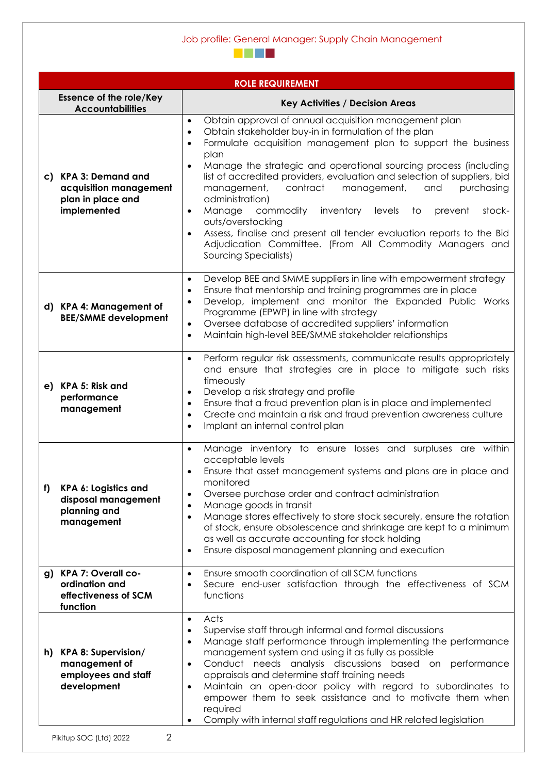|    | <b>ROLE REQUIREMENT</b>                                                            |                                                                                                                                                                                                                                                                                                                                                                                                                                                                                                                                                                                                                                                                                                                                                                    |  |  |
|----|------------------------------------------------------------------------------------|--------------------------------------------------------------------------------------------------------------------------------------------------------------------------------------------------------------------------------------------------------------------------------------------------------------------------------------------------------------------------------------------------------------------------------------------------------------------------------------------------------------------------------------------------------------------------------------------------------------------------------------------------------------------------------------------------------------------------------------------------------------------|--|--|
|    | <b>Essence of the role/Key</b><br><b>Accountabilities</b>                          | <b>Key Activities / Decision Areas</b>                                                                                                                                                                                                                                                                                                                                                                                                                                                                                                                                                                                                                                                                                                                             |  |  |
|    | c) KPA 3: Demand and<br>acquisition management<br>plan in place and<br>implemented | Obtain approval of annual acquisition management plan<br>$\bullet$<br>Obtain stakeholder buy-in in formulation of the plan<br>$\bullet$<br>Formulate acquisition management plan to support the business<br>$\bullet$<br>plan<br>Manage the strategic and operational sourcing process (including<br>$\bullet$<br>list of accredited providers, evaluation and selection of suppliers, bid<br>contract<br>management,<br>management,<br>and<br>purchasing<br>administration)<br>Manage<br>commodity<br>inventory<br>stock-<br>levels<br>to<br>prevent<br>$\bullet$<br>outs/overstocking<br>Assess, finalise and present all tender evaluation reports to the Bid<br>$\bullet$<br>Adjudication Committee. (From All Commodity Managers and<br>Sourcing Specialists) |  |  |
|    | d) KPA 4: Management of<br><b>BEE/SMME development</b>                             | Develop BEE and SMME suppliers in line with empowerment strategy<br>$\bullet$<br>Ensure that mentorship and training programmes are in place<br>$\bullet$<br>Develop, implement and monitor the Expanded Public Works<br>Programme (EPWP) in line with strategy<br>Oversee database of accredited suppliers' information<br>$\bullet$<br>Maintain high-level BEE/SMME stakeholder relationships                                                                                                                                                                                                                                                                                                                                                                    |  |  |
|    | e) KPA 5: Risk and<br>performance<br>management                                    | Perform regular risk assessments, communicate results appropriately<br>$\bullet$<br>and ensure that strategies are in place to mitigate such risks<br>timeously<br>Develop a risk strategy and profile<br>Ensure that a fraud prevention plan is in place and implemented<br>Create and maintain a risk and fraud prevention awareness culture<br>Implant an internal control plan                                                                                                                                                                                                                                                                                                                                                                                 |  |  |
| f) | KPA 6: Logistics and<br>disposal management<br>planning and<br>management          | Manage inventory to ensure losses and surpluses are within<br>$\bullet$<br>acceptable levels<br>Ensure that asset management systems and plans are in place and<br>monitored<br>Oversee purchase order and contract administration<br>$\bullet$<br>Manage goods in transit<br>$\bullet$<br>Manage stores effectively to store stock securely, ensure the rotation<br>$\bullet$<br>of stock, ensure obsolescence and shrinkage are kept to a minimum<br>as well as accurate accounting for stock holding<br>Ensure disposal management planning and execution<br>$\bullet$                                                                                                                                                                                          |  |  |
|    | g) KPA 7: Overall co-<br>ordination and<br>effectiveness of SCM<br>function        | Ensure smooth coordination of all SCM functions<br>Secure end-user satisfaction through the effectiveness of SCM<br>functions                                                                                                                                                                                                                                                                                                                                                                                                                                                                                                                                                                                                                                      |  |  |
|    | h) KPA 8: Supervision/<br>management of<br>employees and staff<br>development      | Acts<br>$\bullet$<br>Supervise staff through informal and formal discussions<br>$\bullet$<br>Manage staff performance through implementing the performance<br>$\bullet$<br>management system and using it as fully as possible<br>Conduct needs analysis discussions based on performance<br>$\bullet$<br>appraisals and determine staff training needs<br>Maintain an open-door policy with regard to subordinates to<br>$\bullet$<br>empower them to seek assistance and to motivate them when<br>required<br>Comply with internal staff regulations and HR related legislation                                                                                                                                                                                  |  |  |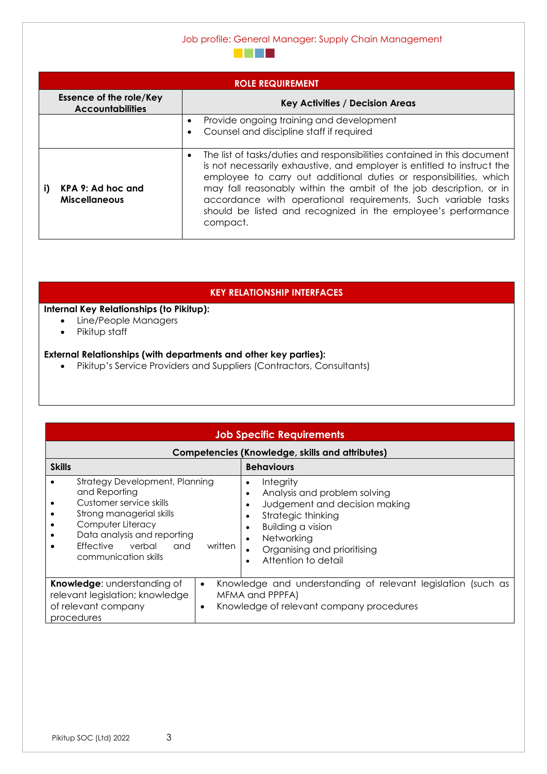Job profile: General Manager: Supply Chain Management

| <b>ROLE REQUIREMENT</b>                                                                             |                                                                                                                                                                                                                                                                                                                                                                                                                                                            |  |  |
|-----------------------------------------------------------------------------------------------------|------------------------------------------------------------------------------------------------------------------------------------------------------------------------------------------------------------------------------------------------------------------------------------------------------------------------------------------------------------------------------------------------------------------------------------------------------------|--|--|
| <b>Essence of the role/Key</b><br><b>Key Activities / Decision Areas</b><br><b>Accountabilities</b> |                                                                                                                                                                                                                                                                                                                                                                                                                                                            |  |  |
|                                                                                                     | Provide ongoing training and development<br>٠<br>Counsel and discipline staff if required                                                                                                                                                                                                                                                                                                                                                                  |  |  |
| KPA 9: Ad hoc and<br><b>Miscellaneous</b>                                                           | The list of tasks/duties and responsibilities contained in this document<br>$\bullet$<br>is not necessarily exhaustive, and employer is entitled to instruct the<br>employee to carry out additional duties or responsibilities, which<br>may fall reasonably within the ambit of the job description, or in<br>accordance with operational requirements. Such variable tasks<br>should be listed and recognized in the employee's performance<br>compact. |  |  |

**The Common** 

#### **KEY RELATIONSHIP INTERFACES**

## **Internal Key Relationships (to Pikitup):**

- Line/People Managers
- Pikitup staff

#### **External Relationships (with departments and other key parties):**

• Pikitup's Service Providers and Suppliers (Contractors, Consultants)

| <b>Job Specific Requirements</b>                                                                                                                                                                                                         |                                                                                                                                                                                                                                                |  |  |  |
|------------------------------------------------------------------------------------------------------------------------------------------------------------------------------------------------------------------------------------------|------------------------------------------------------------------------------------------------------------------------------------------------------------------------------------------------------------------------------------------------|--|--|--|
| <b>Competencies (Knowledge, skills and attributes)</b>                                                                                                                                                                                   |                                                                                                                                                                                                                                                |  |  |  |
| <b>Skills</b>                                                                                                                                                                                                                            | <b>Behaviours</b>                                                                                                                                                                                                                              |  |  |  |
| <b>Strategy Development, Planning</b><br>and Reporting<br>Customer service skills<br>Strong managerial skills<br>Computer Literacy<br>Data analysis and reporting<br>Effective verbal<br>written<br>and and<br>٠<br>communication skills | Integrity<br>٠<br>Analysis and problem solving<br>٠<br>Judgement and decision making<br>٠<br>Strategic thinking<br>$\bullet$<br><b>Building a vision</b><br>٠<br>Networking<br>Organising and prioritising<br>$\bullet$<br>Attention to detail |  |  |  |
| Knowledge: understanding of<br>$\bullet$<br>relevant legislation; knowledge<br>of relevant company<br>$\bullet$<br>procedures                                                                                                            | Knowledge and understanding of relevant legislation (such as<br>MFMA and PPPFA)<br>Knowledge of relevant company procedures                                                                                                                    |  |  |  |